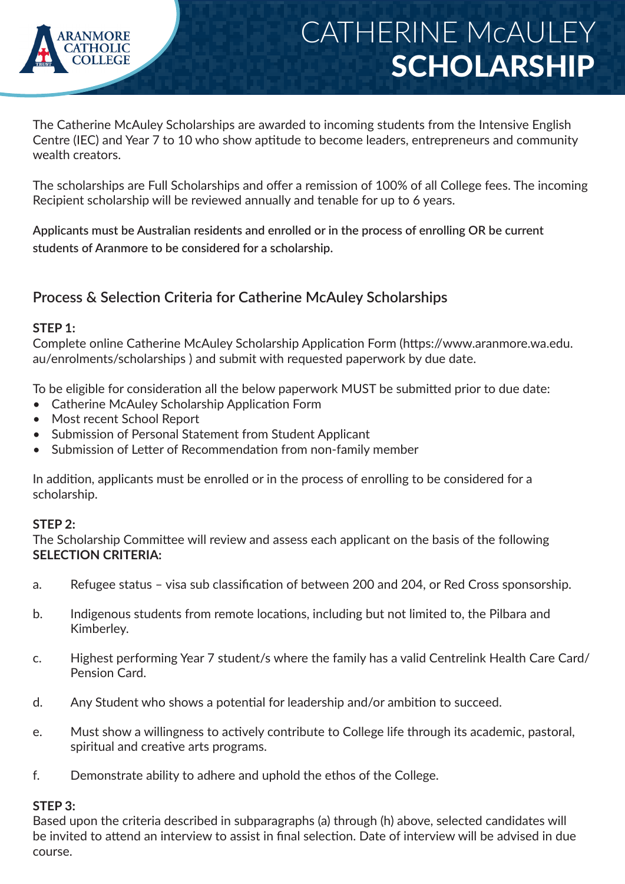

# CATHERINE McAULEY SCHOLARSHIP

The Catherine McAuley Scholarships are awarded to incoming students from the Intensive English Centre (IEC) and Year 7 to 10 who show aptitude to become leaders, entrepreneurs and community wealth creators.

The scholarships are Full Scholarships and offer a remission of 100% of all College fees. The incoming Recipient scholarship will be reviewed annually and tenable for up to 6 years.

**Applicants must be Australian residents and enrolled or in the process of enrolling OR be current students of Aranmore to be considered for a scholarship.**

### **Process & Selection Criteria for Catherine McAuley Scholarships**

#### **STEP 1:**

Complete online Catherine McAuley Scholarship Application Form (https://www.aranmore.wa.edu. au/enrolments/scholarships ) and submit with requested paperwork by due date.

To be eligible for consideration all the below paperwork MUST be submitted prior to due date:

- Catherine McAuley Scholarship Application Form
- Most recent School Report
- Submission of Personal Statement from Student Applicant
- Submission of Letter of Recommendation from non-family member

In addition, applicants must be enrolled or in the process of enrolling to be considered for a scholarship.

#### **STEP 2:**

The Scholarship Committee will review and assess each applicant on the basis of the following **SELECTION CRITERIA:**

- a. Refugee status visa sub classification of between 200 and 204, or Red Cross sponsorship.
- b. Indigenous students from remote locations, including but not limited to, the Pilbara and Kimberley.
- c. Highest performing Year 7 student/s where the family has a valid Centrelink Health Care Card/ Pension Card.
- d. Any Student who shows a potential for leadership and/or ambition to succeed.
- e. Must show a willingness to actively contribute to College life through its academic, pastoral, spiritual and creative arts programs.
- f. Demonstrate ability to adhere and uphold the ethos of the College.

#### **STEP 3:**

Based upon the criteria described in subparagraphs (a) through (h) above, selected candidates will be invited to attend an interview to assist in final selection. Date of interview will be advised in due course.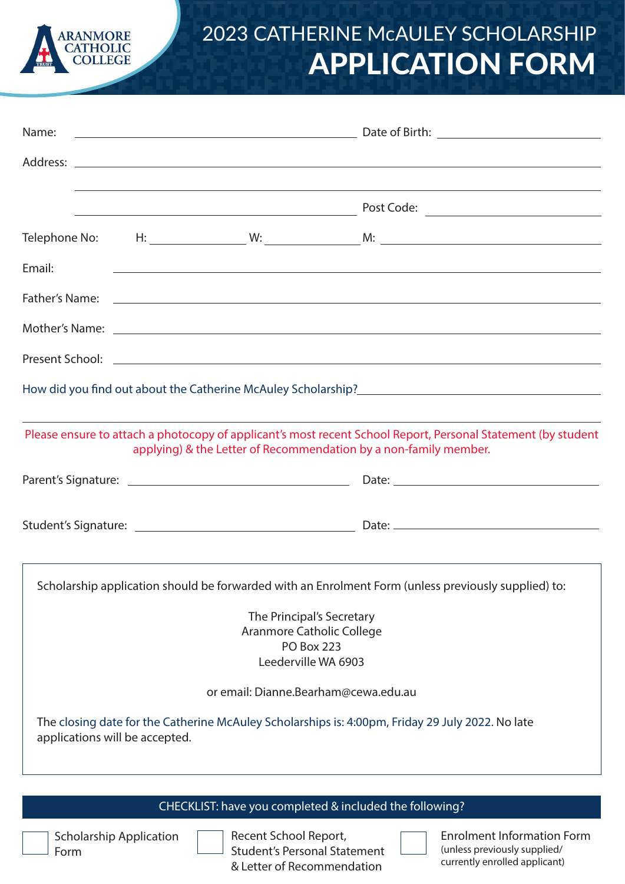

## 2023 CATHERINE McAULEY SCHOLARSHIP APPLICATION FORM

| Name:                                                                                                                                                                            |  |                                                             |                                                                                                                                                                                                                                    |  |  |  |  |  |
|----------------------------------------------------------------------------------------------------------------------------------------------------------------------------------|--|-------------------------------------------------------------|------------------------------------------------------------------------------------------------------------------------------------------------------------------------------------------------------------------------------------|--|--|--|--|--|
|                                                                                                                                                                                  |  |                                                             |                                                                                                                                                                                                                                    |  |  |  |  |  |
|                                                                                                                                                                                  |  |                                                             |                                                                                                                                                                                                                                    |  |  |  |  |  |
|                                                                                                                                                                                  |  | <u> 1989 - Johann Stoff, amerikansk politiker (d. 1989)</u> |                                                                                                                                                                                                                                    |  |  |  |  |  |
|                                                                                                                                                                                  |  |                                                             |                                                                                                                                                                                                                                    |  |  |  |  |  |
| Email:                                                                                                                                                                           |  |                                                             |                                                                                                                                                                                                                                    |  |  |  |  |  |
|                                                                                                                                                                                  |  |                                                             | Father's Name: <u>Example 2008</u> Contract to the Contract of the Contract of the Contract of the Contract of the Contract of the Contract of the Contract of the Contract of the Contract of the Contract of the Contract of the |  |  |  |  |  |
|                                                                                                                                                                                  |  |                                                             |                                                                                                                                                                                                                                    |  |  |  |  |  |
|                                                                                                                                                                                  |  |                                                             |                                                                                                                                                                                                                                    |  |  |  |  |  |
|                                                                                                                                                                                  |  |                                                             |                                                                                                                                                                                                                                    |  |  |  |  |  |
| Please ensure to attach a photocopy of applicant's most recent School Report, Personal Statement (by student<br>applying) & the Letter of Recommendation by a non-family member. |  |                                                             |                                                                                                                                                                                                                                    |  |  |  |  |  |
|                                                                                                                                                                                  |  |                                                             |                                                                                                                                                                                                                                    |  |  |  |  |  |
|                                                                                                                                                                                  |  |                                                             |                                                                                                                                                                                                                                    |  |  |  |  |  |
| Scholarship application should be forwarded with an Enrolment Form (unless previously supplied) to:                                                                              |  |                                                             |                                                                                                                                                                                                                                    |  |  |  |  |  |
| The Principal's Secretary                                                                                                                                                        |  |                                                             |                                                                                                                                                                                                                                    |  |  |  |  |  |
| Aranmore Catholic College                                                                                                                                                        |  |                                                             |                                                                                                                                                                                                                                    |  |  |  |  |  |
| <b>PO Box 223</b>                                                                                                                                                                |  |                                                             |                                                                                                                                                                                                                                    |  |  |  |  |  |
| Leederville WA 6903                                                                                                                                                              |  |                                                             |                                                                                                                                                                                                                                    |  |  |  |  |  |
| or email: Dianne.Bearham@cewa.edu.au                                                                                                                                             |  |                                                             |                                                                                                                                                                                                                                    |  |  |  |  |  |
| The closing date for the Catherine McAuley Scholarships is: 4:00pm, Friday 29 July 2022. No late<br>applications will be accepted.                                               |  |                                                             |                                                                                                                                                                                                                                    |  |  |  |  |  |
|                                                                                                                                                                                  |  |                                                             |                                                                                                                                                                                                                                    |  |  |  |  |  |
|                                                                                                                                                                                  |  |                                                             | CHECKLIST: have you completed & included the following?                                                                                                                                                                            |  |  |  |  |  |
|                                                                                                                                                                                  |  | Slarship Application Docont School Doport                   | Enrolmont Information Form                                                                                                                                                                                                         |  |  |  |  |  |

Scholarship Application Form

Recent School Report, Student's Personal Statement & Letter of Recommendation

Enrolment Information F (unless previously supplied/ currently enrolled applicant)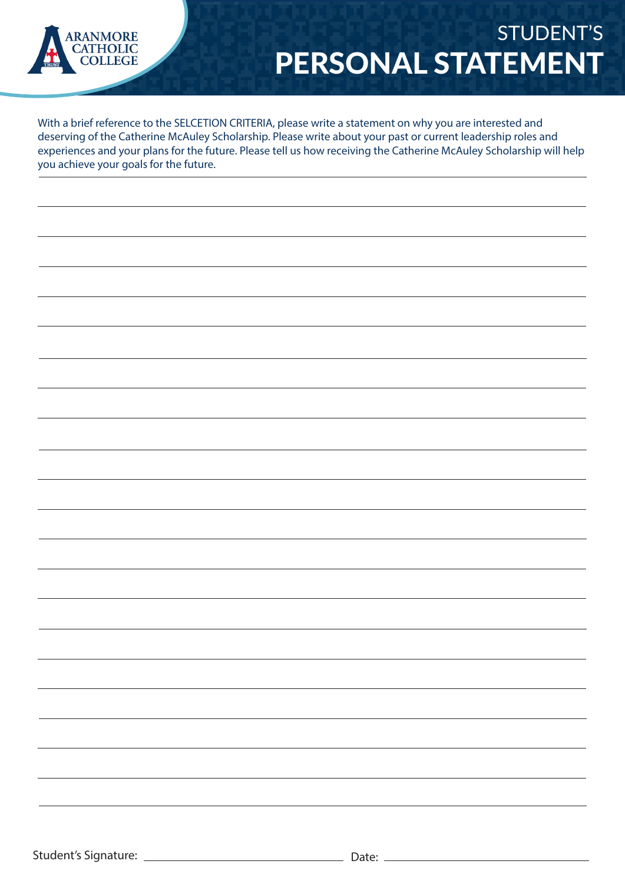

## STUDENT'S PERSONAL STATEMENT

With a brief reference to the SELCETION CRITERIA, please write a statement on why you are interested and deserving of the Catherine McAuley Scholarship. Please write about your past or current leadership roles and experiences and your plans for the future. Please tell us how receiving the Catherine McAuley Scholarship will help you achieve your goals for the future.